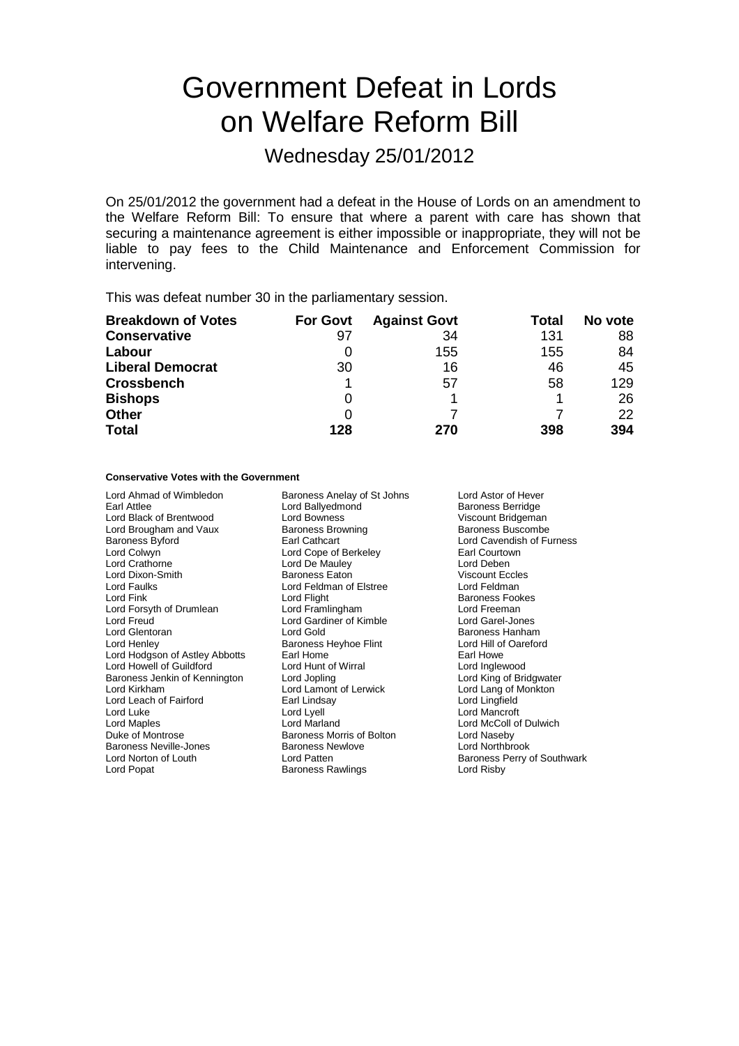# Government Defeat in Lords on Welfare Reform Bill

Wednesday 25/01/2012

On 25/01/2012 the government had a defeat in the House of Lords on an amendment to the Welfare Reform Bill: To ensure that where a parent with care has shown that securing a maintenance agreement is either impossible or inappropriate, they will not be liable to pay fees to the Child Maintenance and Enforcement Commission for intervening.

This was defeat number 30 in the parliamentary session.

| <b>Breakdown of Votes</b> | <b>For Govt</b> | <b>Against Govt</b> | Total | No vote |
|---------------------------|-----------------|---------------------|-------|---------|
| <b>Conservative</b>       | 97              | 34                  | 131   | 88      |
| Labour                    |                 | 155                 | 155   | 84      |
| <b>Liberal Democrat</b>   | 30              | 16                  | 46    | 45      |
| <b>Crossbench</b>         |                 | 57                  | 58    | 129     |
| <b>Bishops</b>            | 0               |                     |       | 26      |
| Other                     | O               |                     |       | 22      |
| <b>Total</b>              | 128             | 270                 | 398   | 394     |

# **Conservative Votes with the Government**

Lord Ahmad of Wimbledon Baroness Anelay of St Johns Lord Astor of Hever<br>Earl Attlee Lord Ballyedmond Baroness Berridge Lord Black of Brentwood Lord Bowness<br>
Lord Brougham and Vaux Baroness Browning<br>
Baroness Buscombe Lord Brougham and Vaux Baroness Browning Baroness Browning Baroness Browning Baroness Browning Baroness Browning Baroness Browning Baroness Browning Baroness Browning Baroness Browning Baroness Browning Baroness Browning B Baroness Byford **Earl Cathcart** Earl Cathcart **Earl Communist Cavendish of Furness**<br>
Lord Colwyn **Earl Communist Communist Communist Communist Communist Communist Communist Communist Communist Communist Communist Communist** Lord Colwyn **Collective Collection** Lord Cope of Berkeley **Collection Courtown Control**<br>
Lord Crathorne **Control Control Control** Lord Deben Lord Dixon-Smith **Baroness Eaton** Baroness Eaton Viscount Eccle<br>
Lord Faulks **Container Eccles**<br>
Lord Feldman of Elstree **Container Container Property** Lord Faulks Lord Feldman of Elstree Lord Feldman Lord Fink Lord Flight Lord Flight Chromess Fookes<br>
Lord Forsyth of Drumlean Lord Framlingham Lord Exemple Lord Freeman Lord Forsyth of Drumlean Lord Framlingham Lord Exemple and Theory Lord Freeman<br>
Lord Freud Carel-Jones Lord Gardiner of Kimble Lord Garel-Jones Lord Glentoran **Lord Gold** Baroness Hanham Lord Henley **Baroness Hanham**<br>
Lord Henley **Baroness Heyhoe Flint** Lord Hill of Oareford Lord Hodgson of Astley Abbotts Earl Home<br>
Lord Howell of Guildford **Earl Earl Home Earl Home Earl Howe**<br>
Lord Howell of Guildford **Earl Earl Earl Earl Earl Earl Earl Howe** Lord Howell of Guildford Lord Hunt of Wirral Lord Inglewood Baroness Jenkin of Kennington Lord Jopling<br>
Lord Kirkham Lord Lamont of Lerwick Lord Leach of Fairford Earl Linds<br>
Lord Luke Lord Lyell Lord Maples **Lord Marland** Lord Marland **Lord McColl of Dulwich**<br>
Duke of Montrose **Lord Marland** Baroness Morris of Bolton **Lord Naseby** Baroness Neville-Jones **Baroness Newlowe Baroness N**<br>
Lord Norton of Louth **Lord Patten** Lord Popat **Baroness Rawlings** Lord Risby **Lord Risby** 

Lord Ballyedmond Lord De Mauley **Lord Deben**<br>
Baroness Eaton **Lord Deben**<br>
Viscount Eccles Lord Gardiner of Kimble<br>Lord Gold Baroness Heyhoe Flint Lord Hill of Carl Home<br>
Earl Home Carl Howe Lord Lamont of Lerwick Lord Lang of Monkton<br>
Earl Lindsay Lord Lingfield Baroness Morris of Bolton **Lord Naseby**<br>
Baroness Newlove **Lord Northbrook** 

Lord Mancroft Baroness Perry of Southwark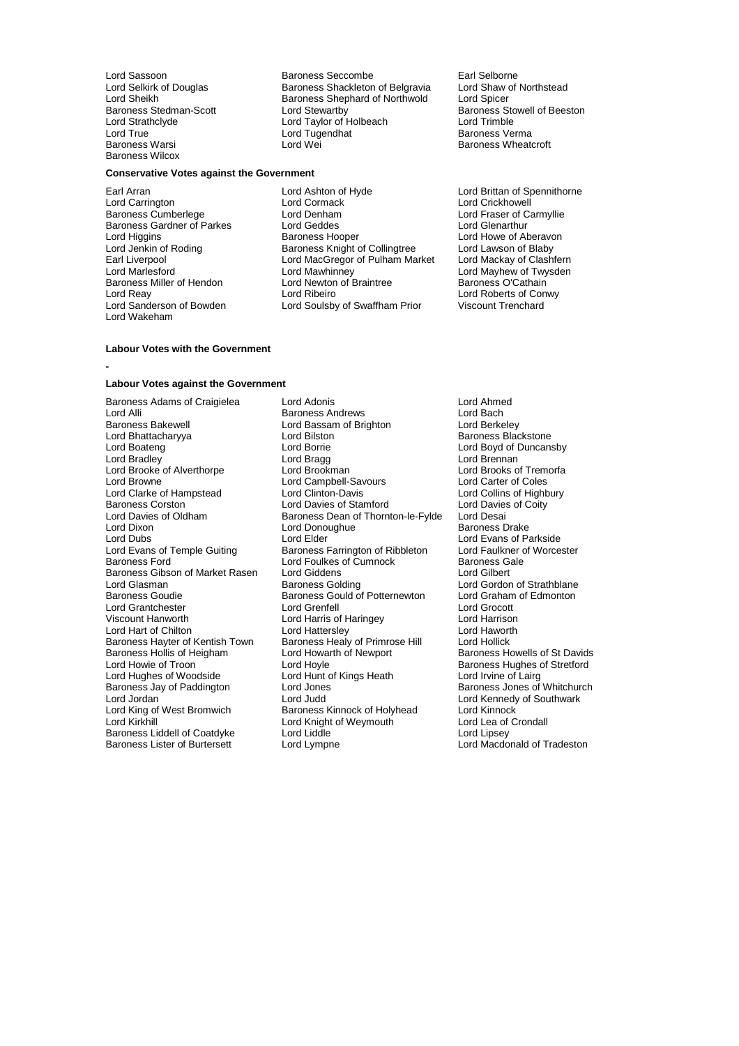Baroness Stedman-Scott Lord Stewartby<br>
Lord Strathclyde Lord Taylor of Holbeach<br>
Lord True Lord Tugendhat Baroness Wilcox

## **Conservative Votes against the Government**

Baroness Gardner of Parkes Lord Geddes<br>Lord Higgins **Lord Glenarthur Baroness Hooper** Baroness Miller of Hendon Lord Newton of Braintree<br>
Lord Reav Lord Ribeiro Lord Wakeham

Lord Sassoon **Baroness Seccombe** Earl Selborne<br>
Lord Selkirk of Douglas **Baroness Shackleton of Belgravia** Lord Shaw of Northstead Lord Selkirk of Douglas Baroness Shackleton of Belgravia Lord Shaw of Northwold Lord Shaw of Northwold Lord Spicer Lord Sheikh **Baroness Shephard of Northwold Baroness Stedman-Scott Baroness Shephard of Northwold** Baroness Stedman-Scott **Lord Stewartby** Baroness Stowell of Beeston<br>
Lord Strathclyde **Baroness Stowell of Beeston**<br>
Lord Trimble **Baroness Stowell of Beeston** Lord True Lord Tugendhat Baroness Verma

Earl Arran **Earl Arran Communist Constructs** Lord Ashton of Hyde **Lord Brittan of Spennithorne**<br>
Lord Carrington **Communist Lord Cormack** Lord Communist Lord Crickhowell Lord Carrington **Lord Cormack**<br>
Lord Crickhowell<br>
Lord Carrington Lord Denham<br>
Lord Crickhowell<br>
Lord Crickhowell **Baroness Cumberless Cumberlege Lord Fraser of Carmyllie<br>
Lord Geddes**<br>
Lord Geddes

Lord Genarthur Lord Higgins **Baroness Hooper** Example of Aberavon<br>
Lord Jenkin of Roding **Baroness Knight of Collingtree** Lord Lawson of Blaby Lord Jenkin of Roding **Baroness Knight of Collingtree** Lord Lawson of Blaby<br>Earl Liverpool **Baroness Collingtree Lord Maccle** Lord Mackay of Clashfern Earl Liverpool Lord MacGregor of Pulham Market<br>
Lord Market Lord Mawhinney Lord Marlesford Corporation Lord Mawhinney<br>
Lord Mayhew of Twysden<br>
Baroness Miller of Hendon Lord Newton of Braintree Corporation Baroness O'Cathain Lord Reay Lord Ribeiro Lord Ribeiro Lord Roberts of Conwy<br>
Lord Sanderson of Bowden Lord Soulsby of Swaffham Prior Viscount Trenchard Lord Soulsby of Swaffham Prior

Baroness Wheatcroft

# **Labour Votes against the Government**

**Labour Votes with the Government**

**-**

Baroness Bakewell **Exerce 2 Exerce 2 Lord Bassam of Brighton**<br>
Lord Bhattacharyya **Corporat Lord Bilston** Lord Clarke of Hampstead Lord Clinton-Davis<br>
Baroness Corston Lord Davies of Stamford Lord Dixon Lord Donoughue<br>
Lord Dubs<br>
Lord Elder Baroness Gibson of Market Rasen Lord Giddens<br>Lord Glasman **Baroness Golding** Baroness Hollis of Heigham Lord Howarth Lord Howarth Lord Howells Lord Hoyle Baroness Jay of Paddington Lord Jones<br>
Lord Jordan Cord Judd Baroness Liddell of Coatdyke Lord Liddle<br>Baroness Lister of Burtersett Lord Lympne

Baroness Adams of Craigielea Lord Adonis Lord Ahmed Lord Alli **Communist Communist Communist Communist Communist Communist Communist Communist Communist Communist Communist Communist Communist Communist Communist Communist Communist Communist Communist Communist Communist C** Lord Bhattacharyya **Lord Bilston** Bilston Baroness Blackstone<br>
Lord Boateng Lord Borrie **Baroness Blackstone**<br>
Lord Boateng Lord Borrie **Baroness Blackstone** Lord Borrie **Lord Boyd of Duncansby Lord Boaten**<br>
Lord Bragg<br>
Lord Brennan Lord Bradley **Lord Bragg Lord Bragg Lord Brennan**<br>
Lord Brooke of Alverthorpe Lord Brookman **Lord Brook Brooks** of Tremorfa Lord Brooke of Alverthorpe Lord Brookman Lord Brooks of Trem<br>
Lord Browne Lord Campbell-Savours Lord Carter of Coles Lord Campbell-Savours<br>
Lord Clinton-Davis Lord Collins of Highbury Baroness Corston **Lord Davies of Stamford** Lord Davies of Coity<br>
Lord Davies of Oldham **Baroness Dean of Thornton-le-Fylde** Lord Desai Lord Davies of Oldham Baroness Dean of Thornton-le-Fylde Lord Desai<br>Lord Dixon Baroness Drake Lord Donoughue Baroness Drake Lord Dubs<br>
Lord Evans of Temple Guiting<br>
Lord Evans of Temple Guiting<br>
Baroness Farrington of Ribbleton 
Lord Faulkner of Worcester Lord Evans of Temple Guiting Baroness Farrington of Ribbleton Lord Faulkner c<br>Baroness Ford Cord Foulkes of Cumnock Baroness Gale Lord Foulkes of Cumnock Baroness Galean Baroness Galean Baroness Galean Baroness Galean Baroness Galean Baroness Galean Baroness Galean Baroness Galean Baroness Galean Baroness Galean Baroness Galean Baroness Galean Barone Lord Glasman **Baroness Golding** Lord Gordon of Strathblane<br>Baroness Goudie **Baroness Gould of Potternewton** Lord Graham of Edmonton Baroness Gould of Potternewton Lord Graham<br>Lord Grenfell **Lord Crocott** Lord Grantchester Lord Grenfell Lord Grocott Lord Harris of Haringey **Lord Harrison**<br>
Lord Hattersley **Lord Haworth** Lord Hart of Chilton **Lord Hattersley** Lord Hattersley Lord Haworth Baroness Hayter of Kentish Town Baroness Healy of Primrose Hill Lord Hollick Baroness Hayter of Kentish Town Baroness Healy of Primrose Hill Lord Hollick<br>Baroness Hollis of Heigham Lord Howarth of Newport Baroness Howells of St Davids Lord Hoyle<br>
Lord Hunt of Kings Heath **Example 2** Lord Irvine of Lairg<br>
Lord Irvine of Lairg Lord Hughes of Woodside Lord Hunt of Kings Heath Lord Irvine of Lairg<br>Baroness Jay of Paddington Lord Jones Lord Huntes Allen Baroness Jones of Whitchurch Lord Jordan **Lord Lord Judd** Lord Judd Lord Cord Kennedy of Southwark<br>
Lord King of West Bromwich **Baroness Kinnock of Holyhead** Lord Kinnock Lord King of West Bromwich **Baroness Kinnock of Holyhead** Lord Kinnock<br>
Lord Kirkhill **Baroness Kinnock of Weymouth** Lord Lea of Crondall Lord Knight of Weymouth Lord Lea of<br>Lord Liddle Lord Linsev

Lord Macdonald of Tradeston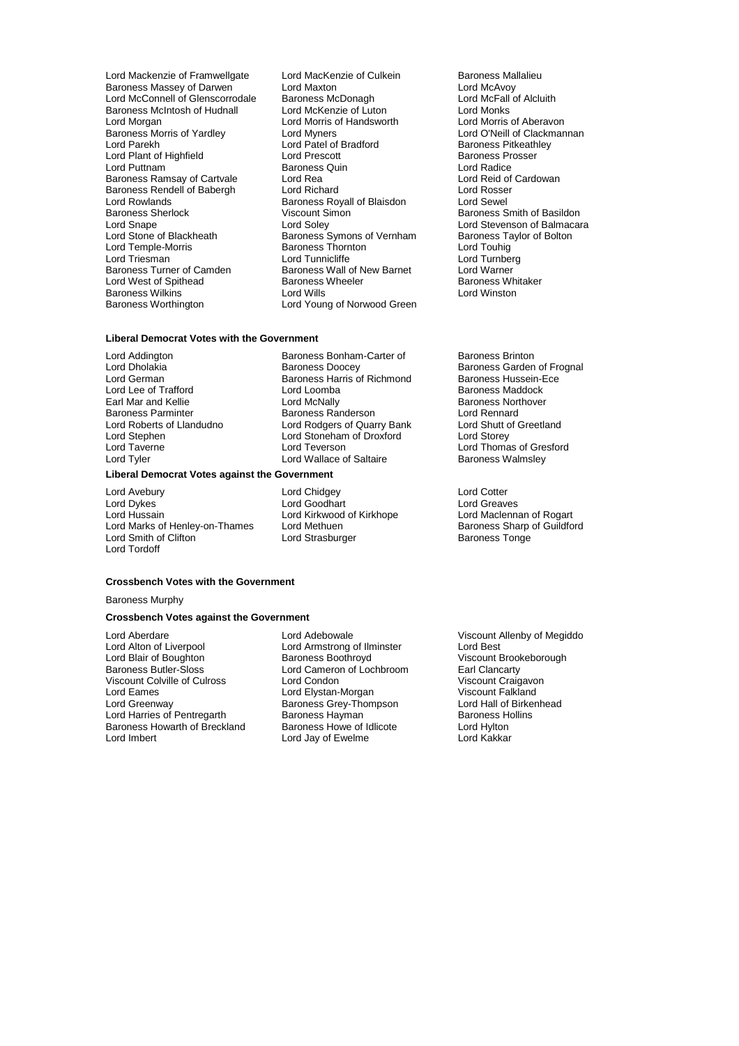- Baroness Massey of Darwen Lord Maxton Lord Maxton Lord McAvoy<br>Lord McConnell of Glenscorrodale Baroness McDonagh Lord McFall of Alcluith Lord McConnell of Glenscorrodale Baroness McDonagh Lord McFall Baroness McIntosh of Hudnall Lord McFall Cord Mc Baroness McIntosh of Hudnall Lord McKenzie of Luton<br>
Lord Morgan<br>
Lord Morris of Handsworth Lord Morgan Lord Morris of Handsworth Lord Morris of Aberavon Baroness Morris of Yardley **Lord Myners** Lord O'Neill of Clackmannan<br>
Lord Parekh Lord Patel of Bradford **Baroness** Pitkeathley Lord Plant of Highfield Lord Prescott **Baroness Provide Baroness Provide Baroness Provide Baroness Provide Baroness Provide Baroness Provide Baroness Provide Baroness Provide Baroness Quin** Baroness Ramsay of Cartvale Lord Rea Lord Rea Lord Reid of Cartvale Lord Reid of Cartvale Lord Reid of Cartvale Baroness Rendell of Babergh Lord Richard Lord Rosser<br>
Lord Rosser Lord Rosser<br>
Lord Rowlands Baroness Royall of Blaisdon Lord Sewel Lord Rowlands **Baroness Royall of Blaisdon**<br>Baroness Sherlock **Baroness Sherlock** Viscount Simon Baroness Sherlock **Viscount Simon** Baroness Smith of Basildon<br>
Lord Snape **Baroness** Lord Solev<br>
Lord Stevenson of Balmacara Lord Snape Lord Soley Lord Stevenson of Balmacara Lord Stone of Blackheath Baroness Symons of Vernham Baroness Taylor of Bolton Lord Temple-Morris Baroness Thornton Lord Touhig Baroness Turner of Camden Baroness Wall of New Barnet Lord Warner Cord Camden Baroness Wheeler Cord Warner Cord Warner Cord Warner Cord Warner Cord Warner Cord Warner Cord Warner Cord Warner Cord Warner Cord Warner Cord Wa Lord West of Spithead **Baroness Wheeler** Baroness Wheeler Baroness Wheeler Baroness Wheeler Baroness Wheeler Baroness Wheeler Baroness Wheeler Baroness Wheeler Baroness Wheeler Baroness Wheeler Baroness Wheeler Baroness Wh Baroness Wilkins<br>Baroness Worthington
- Lord Mackenzie of Framwellgate Lord MacKenzie of Culkein Baroness Mallalieu<br>
Baroness Massey of Darwen Lord Maxton Cord Maxton Lord McAvoy Lord Patel of Bradford<br>
Lord Prescott Baroness Prosser **Baroness Quin Exercise Contramental Lord Radice**<br> **Lord Rea**<br>
Lord Rea Lord Tunnicliffe **Lord Tunnicliffe** Lord Tunnber<br>Baroness Wall of New Barnet Lord Warner Lord Young of Norwood Green
	-

# **Liberal Democrat Votes with the Government**

Lord Addington **Baroness Bonham-Carter of** Baroness Brinton<br>
Lord Dholakia Baroness Doocev Baroness Garden Lord Lee of Trafford Lord Loomba Baroness Maddock

# **Liberal Democrat Votes against the Government**

Lord Avebury **Lord Conduct Lord Conduct Conduct Ave** Lord Cotter Lord Cotter Lord Cotter Lord Creaves Lord Dykes Lord Goodhart Lord Greaves Lord Marks of Henley-on-Thames Lord Methuen Baroness Sharp of Baroness Sharp of Baroness Sharp of Baroness Tonge Lord Smith of Clifton Lord Tordoff

Lord Dholakia Baroness Doocey Baroness Garden of Frognal<br>
Lord German Baroness Harris of Richmond Baroness Hussein-Ece Baroness Harris of Richmond Baroness Hussein-<br>Lord Loomba **Baroness Maddock** Earl Mar and Kellie **Lord McNally** Lord McNally **Baroness Northover**<br>
Baroness Parminter **Baroness Randerson** Lord Rennard Baroness Parminter **Baroness Randerson** Lord Rennard<br>
Lord Roberts of Llandudno Lord Rodgers of Quarry Bank Lord Shutt of Greetland Lord Roberts of Llandudno Lord Rodgers of Quarry Bank Lord Shutt of Lord Storey<br>
Lord Stephen Lord Storeham of Droxford Lord Storey Lord Stephen Lord Stoneham of Droxford<br>
Lord Taverne Lord Teverson Lord Tyler Lord Wallace of Saltaire Baroness Walmsley

#### **Crossbench Votes with the Government**

Baroness Murphy

# **Crossbench Votes against the Government**

Lord Alton of Liverpool Lord Armstrong of Ilminster<br>
Lord Blair of Boughton Baroness Boothroyd Lord Blair of Boughton **Baroness Boothroyd** Viscount Brookeborough<br>Baroness Butler-Sloss **Baroness Boothroom** Earl Clancarty Viscount Colville of Culross Lord Condon Lord Condon Viscount Craigavon Viscount Craigavon<br>Cord Existen-Morgan Viscount Falkland Lord Eames Lord Elystan-Morgan Viscount Falkland Lord Harries of Pentregarth Baroness Hayman Baroness Howarth of Breckland Baroness Howe of Idlicote Lord Hylton Baroness Howarth of Breckland Baroness Howe of Idlicote Lord Hylton<br>Lord Imbert Lord Hakkar Lord Jay of Ewelme Lord Kakkar

Lord Aberdare **Lord Adebowale** Cord Adebowale **Viscount Allenby of Megiddo**<br>
Lord Alton of Liverpool **Lord Armstrong of Ilminster** Lord Best Lord Cameron of Lochbroom Earl Clancarty<br>- Lord Condon Craig Viscount Craigavon Baroness Grey-Thompson Lord Hall of Birke<br>Baroness Hayman Baroness Hollins Lord Jay of Ewelme

Lord Thomas of Gresford

Lord Kirkwood of Kirkhope Lord Maclennan of Rogart<br>
Lord Methuen Corp Baroness Sharp of Guildford